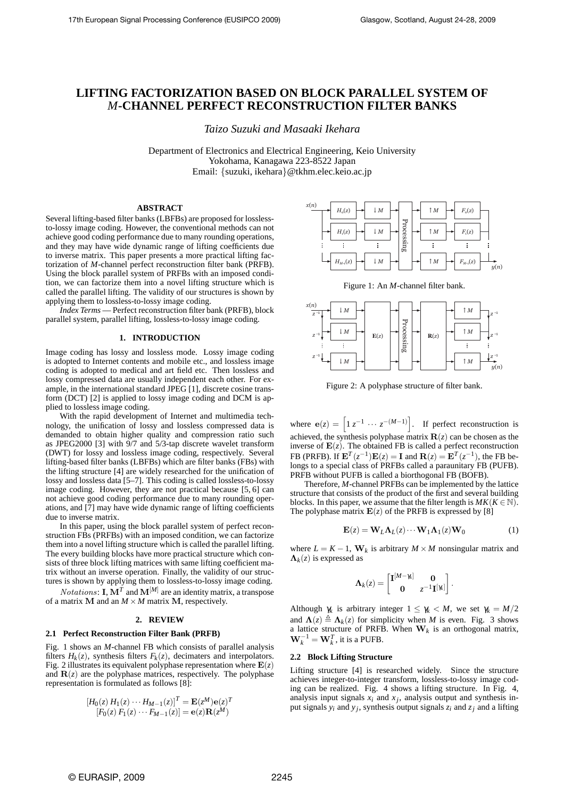# **LIFTING FACTORIZATION BASED ON BLOCK PARALLEL SYSTEM OF** *M***-CHANNEL PERFECT RECONSTRUCTION FILTER BANKS**

*Taizo Suzuki and Masaaki Ikehara*

Department of Electronics and Electrical Engineering, Keio University Yokohama, Kanagawa 223-8522 Japan Email: *{*suzuki, ikehara*}*@tkhm.elec.keio.ac.jp

# **ABSTRACT**

Several lifting-based filter banks (LBFBs) are proposed for losslessto-lossy image coding. However, the conventional methods can not achieve good coding performance due to many rounding operations, and they may have wide dynamic range of lifting coefficients due to inverse matrix. This paper presents a more practical lifting factorization of *M*-channel perfect reconstruction filter bank (PRFB). Using the block parallel system of PRFBs with an imposed condition, we can factorize them into a novel lifting structure which is called the parallel lifting. The validity of our structures is shown by applying them to lossless-to-lossy image coding.

*Index Terms* — Perfect reconstruction filter bank (PRFB), block parallel system, parallel lifting, lossless-to-lossy image coding.

# **1. INTRODUCTION**

Image coding has lossy and lossless mode. Lossy image coding is adopted to Internet contents and mobile etc., and lossless image coding is adopted to medical and art field etc. Then lossless and lossy compressed data are usually independent each other. For example, in the international standard JPEG [1], discrete cosine transform (DCT) [2] is applied to lossy image coding and DCM is applied to lossless image coding.

With the rapid development of Internet and multimedia technology, the unification of lossy and lossless compressed data is demanded to obtain higher quality and compression ratio such as JPEG2000 [3] with 9/7 and 5/3-tap discrete wavelet transform (DWT) for lossy and lossless image coding, respectively. Several lifting-based filter banks (LBFBs) which are filter banks (FBs) with the lifting structure [4] are widely researched for the unification of lossy and lossless data [5–7]. This coding is called lossless-to-lossy image coding. However, they are not practical because [5, 6] can not achieve good coding performance due to many rounding operations, and [7] may have wide dynamic range of lifting coefficients due to inverse matrix.

In this paper, using the block parallel system of perfect reconstruction FBs (PRFBs) with an imposed condition, we can factorize them into a novel lifting structure which is called the parallel lifting. The every building blocks have more practical structure which consists of three block lifting matrices with same lifting coefficient matrix without an inverse operation. Finally, the validity of our structures is shown by applying them to lossless-to-lossy image coding.

*Notations*: **I**,  $M^T$  and  $M^{[M]}$  are an identity matrix, a transpose of a matrix **M** and an  $M \times M$  matrix **M**, respectively.

#### **2. REVIEW**

# **2.1 Perfect Reconstruction Filter Bank (PRFB)**

Fig. 1 shows an *M*-channel FB which consists of parallel analysis filters  $H_k(z)$ , synthesis filters  $F_k(z)$ , decimaters and interpolators. Fig. 2 illustrates its equivalent polyphase representation where  $E(z)$ and  $\mathbf{R}(z)$  are the polyphase matrices, respectively. The polyphase representation is formulated as follows [8]:

$$
\begin{aligned} \left[H_0(z) \, H_1(z) \cdots H_{M-1}(z)\right]^T &= \mathbf{E}(z^M) \mathbf{e}(z)^T\\ \left[F_0(z) \, F_1(z) \cdots F_{M-1}(z)\right] &= \mathbf{e}(z) \mathbf{R}(z^M) \end{aligned}
$$



Figure 1: An *M*-channel filter bank.



Figure 2: A polyphase structure of filter bank.

where  $e(z) = \left[1 z^{-1} \cdots z^{-(M-1)}\right]$ . If perfect reconstruction is achieved, the synthesis polyphase matrix  $\mathbf{R}(z)$  can be chosen as the inverse of  $E(z)$ . The obtained FB is called a perfect reconstruction FB (PRFB). If  $\mathbf{E}^T(z^{-1})\mathbf{E}(z) = \mathbf{I}$  and  $\mathbf{R}(z) = \mathbf{E}^T(z^{-1})$ , the FB belongs to a special class of PRFBs called a paraunitary FB (PUFB). PRFB without PUFB is called a biorthogonal FB (BOFB).

Therefore, *M*-channel PRFBs can be implemented by the lattice structure that consists of the product of the first and several building blocks. In this paper, we assume that the filter length is  $MK(K \in \mathbb{N})$ . The polyphase matrix  $E(z)$  of the PRFB is expressed by [8]

$$
\mathbf{E}(z) = \mathbf{W}_L \mathbf{\Lambda}_L(z) \cdots \mathbf{W}_1 \mathbf{\Lambda}_1(z) \mathbf{W}_0
$$
 (1)

where  $L = K - 1$ ,  $\mathbf{W}_k$  is arbitrary  $M \times M$  nonsingular matrix and  $\Lambda_k(z)$  is expressed as

$$
\Lambda_k(z) = \begin{bmatrix} \mathbf{I}^{[M-\gamma_k]} & \mathbf{0} \\ \mathbf{0} & z^{-1} \mathbf{I}^{[\gamma_k]} \end{bmatrix}.
$$

Although  $\gamma_k$  is arbitrary integer  $1 \leq \gamma_k < M$ , we set  $\gamma_k = M/2$ and  $\Lambda(z) \triangleq \Lambda_k(z)$  for simplicity when *M* is even. Fig. 3 shows a lattice structure of PRFB. When **W***<sup>k</sup>* is an orthogonal matrix,  $\mathbf{W}_k^{-1} = \mathbf{W}_k^T$ , it is a PUFB.

# **2.2 Block Lifting Structure**

Lifting structure [4] is researched widely. Since the structure achieves integer-to-integer transform, lossless-to-lossy image coding can be realized. Fig. 4 shows a lifting structure. In Fig. 4, analysis input signals  $x_i$  and  $x_j$ , analysis output and synthesis input signals  $y_i$  and  $y_j$ , synthesis output signals  $z_i$  and  $z_j$  and a lifting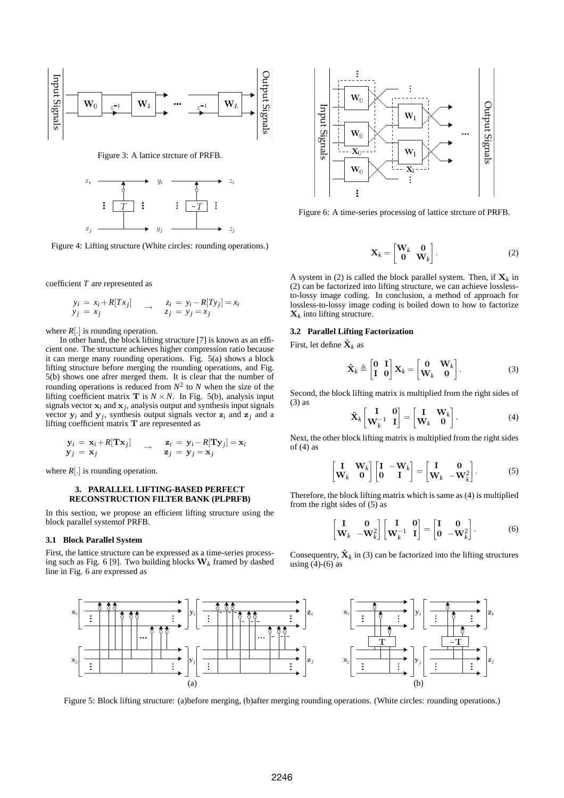

Figure 3: A lattice strcture of PRFB.



Figure 4: Lifting structure (White circles: rounding operations.)

coefficient *T* are represented as

$$
\begin{array}{ccc}\ny_i = x_i + R[T x_j] & \rightarrow & z_i = y_i - R[T y_j] = x_i \\
y_j = x_j & \rightarrow & z_j = y_j = x_j\n\end{array}
$$

where  $R[.]$  is rounding operation.

In other hand, the block lifting structure [7] is known as an efficient one. The structure achieves higher compression ratio because it can merge many rounding operations. Fig. 5(a) shows a block lifting structure before merging the rounding operations, and Fig. 5(b) shows one afrer merged them. It is clear that the number of rounding operations is reduced from  $N^2$  to  $N$  when the size of the lifting coefficient matrix **T** is  $N \times N$ . In Fig. 5(b), analysis input signals vector  $\mathbf{x}_i$  and  $\mathbf{x}_j$ , analysis output and synthesis input signals vector  $y_i$  and  $y_j$ , synthesis output signals vector  $z_i$  and  $z_j$  and a lifting coefficient matrix **T** are represented as

$$
\begin{array}{ccc} \mathbf{y}_i = \mathbf{x}_i + R[\mathbf{Tx}_j] & \rightarrow & \mathbf{z}_i = \mathbf{y}_i - R[\mathbf{Ty}_j] = \mathbf{x}_i \\ \mathbf{y}_j = \mathbf{x}_j & \mathbf{z}_j = \mathbf{y}_j = \mathbf{x}_j \end{array}
$$

where *R*[*.*] is rounding operation.

# **3. PARALLEL LIFTING-BASED PERFECT RECONSTRUCTION FILTER BANK (PLPRFB)**

In this section, we propose an efficient lifting structure using the block parallel systemof PRFB.

#### **3.1 Block Parallel System**

First, the lattice structure can be expressed as a time-series processing such as Fig. 6 [9]. Two building blocks **W***<sup>k</sup>* framed by dashed line in Fig. 6 are expressed as



Figure 6: A time-series processing of lattice strcture of PRFB.

$$
\mathbf{X}_k = \begin{bmatrix} \mathbf{W}_k & \mathbf{0} \\ \mathbf{0} & \mathbf{W}_k \end{bmatrix} .
$$
 (2)

A system in (2) is called the block parallel system. Then, if  $X_k$  in (2) can be factorized into lifting structure, we can achieve losslessto-lossy image coding. In conclusion, a method of approach for lossless-to-lossy image coding is boiled down to how to factorize  $\mathbf{X}_k$  into lifting structure.

#### **3.2 Parallel Lifting Factorization**

First, let define  $\tilde{\mathbf{X}}_k$  as

$$
\tilde{\mathbf{X}}_k \triangleq \begin{bmatrix} \mathbf{0} & \mathbf{I} \\ \mathbf{I} & \mathbf{0} \end{bmatrix} \mathbf{X}_k = \begin{bmatrix} \mathbf{0} & \mathbf{W}_k \\ \mathbf{W}_k & \mathbf{0} \end{bmatrix} . \tag{3}
$$

Second, the block lifting matrix is multiplied from the right sides of (3) as

$$
\tilde{\mathbf{X}}_k \begin{bmatrix} \mathbf{I} & \mathbf{0} \\ \mathbf{W}_k^{-1} & \mathbf{I} \end{bmatrix} = \begin{bmatrix} \mathbf{I} & \mathbf{W}_k \\ \mathbf{W}_k & \mathbf{0} \end{bmatrix} .
$$
 (4)

Next, the other block lifting matrix is multiplied from the right sides of  $(4)$  as

$$
\begin{bmatrix} \mathbf{I} & \mathbf{W}_k \\ \mathbf{W}_k & \mathbf{0} \end{bmatrix} \begin{bmatrix} \mathbf{I} & -\mathbf{W}_k \\ \mathbf{0} & \mathbf{I} \end{bmatrix} = \begin{bmatrix} \mathbf{I} & \mathbf{0} \\ \mathbf{W}_k & -\mathbf{W}_k^2 \end{bmatrix} .
$$
 (5)

Therefore, the block lifting matrix which is same as (4) is multiplied from the right sides of (5) as

$$
\begin{bmatrix} \mathbf{I} & \mathbf{0} \\ \mathbf{W}_k & -\mathbf{W}_k^2 \end{bmatrix} \begin{bmatrix} \mathbf{I} & \mathbf{0} \\ \mathbf{W}_k^{-1} & \mathbf{I} \end{bmatrix} = \begin{bmatrix} \mathbf{I} & \mathbf{0} \\ \mathbf{0} & -\mathbf{W}_k^2 \end{bmatrix}.
$$
 (6)

Consequentry,  $\tilde{\mathbf{X}}_k$  in (3) can be factorized into the lifting structures using  $(4)-(6)$  as



Figure 5: Block lifting structure: (a)before merging, (b)after merging rounding operations. (White circles: rounding operations.)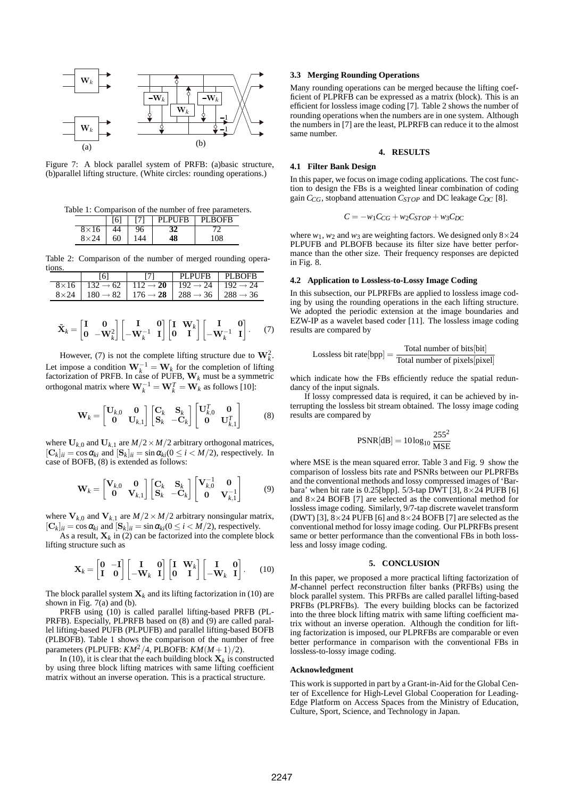

Figure 7: A block parallel system of PRFB: (a)basic structure, (b)parallel lifting structure. (White circles: rounding operations.)

Table 1: Comparison of the number of free parameters.

| $6^1$ |    | <b>PUFB</b> | <b>BOFB</b> |
|-------|----|-------------|-------------|
| 4     | 96 | 32          |             |
| 60    |    | 48          | 108         |

Table 2: Comparison of the number of merged rounding operations.

|                                                                                                         | PLPUFB PLBOFB |  |
|---------------------------------------------------------------------------------------------------------|---------------|--|
| $8\times16$   132 $\rightarrow 62$   112 $\rightarrow 20$   192 $\rightarrow 24$   192 $\rightarrow 24$ |               |  |
| $8\times24$   180 $\rightarrow$ 82   176 $\rightarrow$ 28   288 $\rightarrow$ 36   288 $\rightarrow$ 36 |               |  |

$$
\tilde{\mathbf{X}}_k = \begin{bmatrix} \mathbf{I} & \mathbf{0} \\ \mathbf{0} & -\mathbf{W}_k^2 \end{bmatrix} \begin{bmatrix} \mathbf{I} & \mathbf{0} \\ -\mathbf{W}_k^{-1} & \mathbf{I} \end{bmatrix} \begin{bmatrix} \mathbf{I} & \mathbf{W}_k \\ \mathbf{0} & \mathbf{I} \end{bmatrix} \begin{bmatrix} \mathbf{I} & \mathbf{0} \\ -\mathbf{W}_k^{-1} & \mathbf{I} \end{bmatrix}.
$$
 (7)

However, (7) is not the complete lifting structure due to  $W_k^2$ . Let impose a condition  $W_k^{-1} = W_k$  for the completion of lifting factorization of PRFB. In case of PUFB, **W***<sup>k</sup>* must be a symmetric orthogonal matrix where  $\mathbf{W}_k^{-1} = \mathbf{W}_k^T = \mathbf{W}_k$  as follows [10]:

$$
\mathbf{W}_k = \begin{bmatrix} \mathbf{U}_{k,0} & \mathbf{0} \\ \mathbf{0} & \mathbf{U}_{k,1} \end{bmatrix} \begin{bmatrix} \mathbf{C}_k & \mathbf{S}_k \\ \mathbf{S}_k & -\mathbf{C}_k \end{bmatrix} \begin{bmatrix} \mathbf{U}_{k,0}^T & \mathbf{0} \\ \mathbf{0} & \mathbf{U}_{k,1}^T \end{bmatrix}
$$
(8)

where  $U_{k,0}$  and  $U_{k,1}$  are  $M/2 \times M/2$  arbitrary orthogonal matrices,  $[\mathbf{C}_k]_{ii} = \cos \alpha_{ki}$  and  $[\mathbf{S}_k]_{ii} = \sin \alpha_{ki} (0 \le i \le M/2)$ , respectively. In case of BOFB, (8) is extended as follows:

$$
\mathbf{W}_k = \begin{bmatrix} \mathbf{V}_{k,0} & \mathbf{0} \\ \mathbf{0} & \mathbf{V}_{k,1} \end{bmatrix} \begin{bmatrix} \mathbf{C}_k & \mathbf{S}_k \\ \mathbf{S}_k & -\mathbf{C}_k \end{bmatrix} \begin{bmatrix} \mathbf{V}_{k,0}^{-1} & \mathbf{0} \\ \mathbf{0} & \mathbf{V}_{k,1}^{-1} \end{bmatrix}
$$
(9)

where  $V_{k,0}$  and  $V_{k,1}$  are  $M/2 \times M/2$  arbitrary nonsingular matrix,  $[\mathbf{C}_k]_{ii} = \cos \alpha_{ki}$  and  $[\mathbf{S}_k]_{ii} = \sin \alpha_{ki} (0 \le i \le M/2)$ , respectively.

As a result,  $X_k$  in (2) can be factorized into the complete block lifting structure such as

$$
\mathbf{X}_{k} = \begin{bmatrix} \mathbf{0} & -\mathbf{I} \\ \mathbf{I} & \mathbf{0} \end{bmatrix} \begin{bmatrix} \mathbf{I} & \mathbf{0} \\ -\mathbf{W}_{k} & \mathbf{I} \end{bmatrix} \begin{bmatrix} \mathbf{I} & \mathbf{W}_{k} \\ \mathbf{0} & \mathbf{I} \end{bmatrix} \begin{bmatrix} \mathbf{I} & \mathbf{0} \\ -\mathbf{W}_{k} & \mathbf{I} \end{bmatrix}.
$$
 (10)

The block parallel system  $X_k$  and its lifting factorization in (10) are shown in Fig. 7(a) and (b).

PRFB using (10) is called parallel lifting-based PRFB (PL-PRFB). Especially, PLPRFB based on (8) and (9) are called parallel lifting-based PUFB (PLPUFB) and parallel lifting-based BOFB (PLBOFB). Table 1 shows the comparison of the number of free parameters (PLPUFB:  $KM^2/4$ , PLBOFB:  $KM(M+1)/2$ ).

In (10), it is clear that the each building block  $\mathbf{X}_k$  is constructed by using three block lifting matrices with same lifting coefficient matrix without an inverse operation. This is a practical structure.

#### **3.3 Merging Rounding Operations**

Many rounding operations can be merged because the lifting coefficient of PLPRFB can be expressed as a matrix (block). This is an efficient for lossless image coding [7]. Table 2 shows the number of rounding operations when the numbers are in one system. Although the numbers in [7] are the least, PLPRFB can reduce it to the almost same number.

# **4. RESULTS**

# **4.1 Filter Bank Design**

In this paper, we focus on image coding applications. The cost function to design the FBs is a weighted linear combination of coding gain *CCG*, stopband attenuation *CSTOP* and DC leakage *CDC* [8].

$$
C = -w_1C_{CG} + w_2C_{STOP} + w_3C_{DC}
$$

where  $w_1$ ,  $w_2$  and  $w_3$  are weighting factors. We designed only  $8 \times 24$ PLPUFB and PLBOFB because its filter size have better performance than the other size. Their frequency responses are depicted in Fig. 8.

#### **4.2 Application to Lossless-to-Lossy Image Coding**

In this subsection, our PLPRFBs are applied to lossless image coding by using the rounding operations in the each lifting structure. We adopted the periodic extension at the image boundaries and EZW-IP as a wavelet based coder [11]. The lossless image coding results are compared by

Lossless bit rate[bpp] = 
$$
\frac{\text{Total number of bits[bit]}}{\text{Total number of pixels[pixel]}}
$$

which indicate how the FBs efficiently reduce the spatial redundancy of the input signals.

If lossy compressed data is required, it can be achieved by interrupting the lossless bit stream obtained. The lossy image coding results are compared by

$$
PSNR[dB] = 10\log_{10}\frac{255^2}{MSE}
$$

where MSE is the mean squared error. Table 3 and Fig. 9 show the comparison of lossless bits rate and PSNRs between our PLPRFBs and the conventional methods and lossy compressed images of 'Barbara' when bit rate is 0.25[bpp]. 5/3-tap DWT [3], 8*×*24 PUFB [6] and 8*×*24 BOFB [7] are selected as the conventional method for lossless image coding. Similarly, 9/7-tap discrete wavelet transform (DWT) [3], 8*×*24 PUFB [6] and 8*×*24 BOFB [7] are selected as the conventional method for lossy image coding. Our PLPRFBs present same or better performance than the conventional FBs in both lossless and lossy image coding.

# **5. CONCLUSION**

In this paper, we proposed a more practical lifting factorization of *M*-channel perfect reconstruction filter banks (PRFBs) using the block parallel system. This PRFBs are called parallel lifting-based PRFBs (PLPRFBs). The every building blocks can be factorized into the three block lifting matrix with same lifting coefficient matrix without an inverse operation. Although the condition for lifting factorization is imposed, our PLPRFBs are comparable or even better performance in comparison with the conventional FBs in lossless-to-lossy image coding.

#### **Acknowledgment**

This work is supported in part by a Grant-in-Aid for the Global Center of Excellence for High-Level Global Cooperation for Leading-Edge Platform on Access Spaces from the Ministry of Education, Culture, Sport, Science, and Technology in Japan.